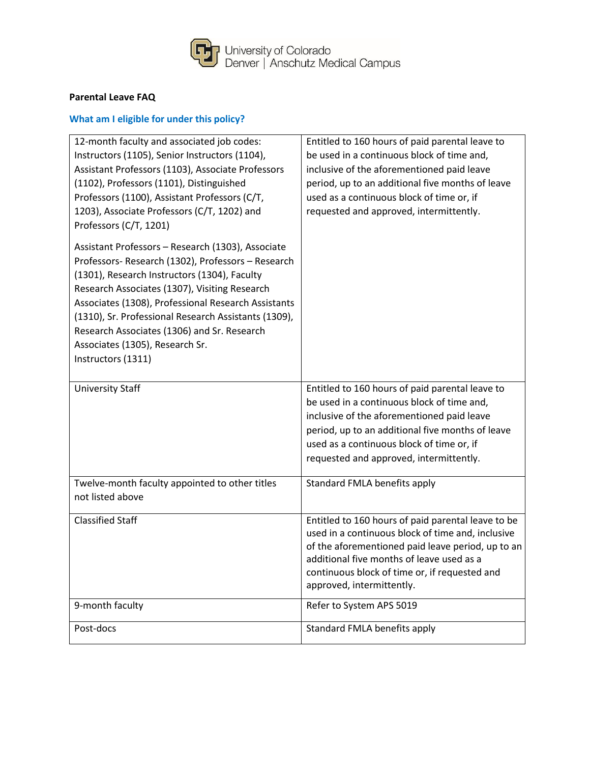

## **Parental Leave FAQ**

# **What am I eligible for under this policy?**

| 12-month faculty and associated job codes:<br>Instructors (1105), Senior Instructors (1104),<br>Assistant Professors (1103), Associate Professors<br>(1102), Professors (1101), Distinguished<br>Professors (1100), Assistant Professors (C/T,<br>1203), Associate Professors (C/T, 1202) and<br>Professors (C/T, 1201)                                                                                                         | Entitled to 160 hours of paid parental leave to<br>be used in a continuous block of time and,<br>inclusive of the aforementioned paid leave<br>period, up to an additional five months of leave<br>used as a continuous block of time or, if<br>requested and approved, intermittently. |
|---------------------------------------------------------------------------------------------------------------------------------------------------------------------------------------------------------------------------------------------------------------------------------------------------------------------------------------------------------------------------------------------------------------------------------|-----------------------------------------------------------------------------------------------------------------------------------------------------------------------------------------------------------------------------------------------------------------------------------------|
| Assistant Professors - Research (1303), Associate<br>Professors- Research (1302), Professors - Research<br>(1301), Research Instructors (1304), Faculty<br>Research Associates (1307), Visiting Research<br>Associates (1308), Professional Research Assistants<br>(1310), Sr. Professional Research Assistants (1309),<br>Research Associates (1306) and Sr. Research<br>Associates (1305), Research Sr.<br>Instructors (1311) |                                                                                                                                                                                                                                                                                         |
| <b>University Staff</b>                                                                                                                                                                                                                                                                                                                                                                                                         | Entitled to 160 hours of paid parental leave to<br>be used in a continuous block of time and,<br>inclusive of the aforementioned paid leave<br>period, up to an additional five months of leave<br>used as a continuous block of time or, if<br>requested and approved, intermittently. |
| Twelve-month faculty appointed to other titles<br>not listed above                                                                                                                                                                                                                                                                                                                                                              | Standard FMLA benefits apply                                                                                                                                                                                                                                                            |
| <b>Classified Staff</b>                                                                                                                                                                                                                                                                                                                                                                                                         | Entitled to 160 hours of paid parental leave to be<br>used in a continuous block of time and, inclusive<br>of the aforementioned paid leave period, up to an<br>additional five months of leave used as a<br>continuous block of time or, if requested and<br>approved, intermittently. |
| 9-month faculty                                                                                                                                                                                                                                                                                                                                                                                                                 | Refer to System APS 5019                                                                                                                                                                                                                                                                |
| Post-docs                                                                                                                                                                                                                                                                                                                                                                                                                       | Standard FMLA benefits apply                                                                                                                                                                                                                                                            |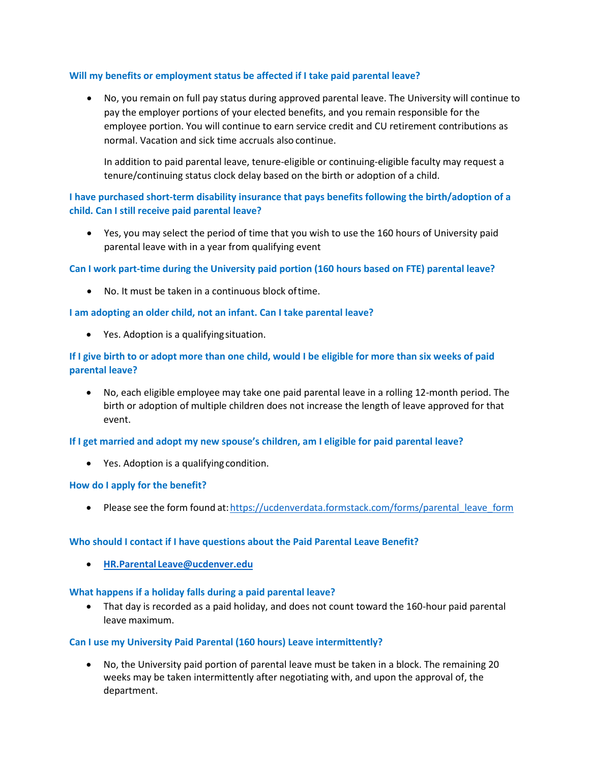## **Will my benefits or employment status be affected if I take paid parental leave?**

 No, you remain on full pay status during approved parental leave. The University will continue to pay the employer portions of your elected benefits, and you remain responsible for the employee portion. You will continue to earn service credit and CU retirement contributions as normal. Vacation and sick time accruals also continue.

In addition to paid parental leave, tenure-eligible or continuing-eligible faculty may request a tenure/continuing status clock delay based on the birth or adoption of a child.

## **I have purchased short-term disability insurance that pays benefits following the birth/adoption of a child. Can I still receive paid parental leave?**

 Yes, you may select the period of time that you wish to use the 160 hours of University paid parental leave with in a year from qualifying event

## **Can I work part-time during the University paid portion (160 hours based on FTE) parental leave?**

No. It must be taken in a continuous block oftime.

## **I am adopting an older child, not an infant. Can I take parental leave?**

Yes. Adoption is a qualifyingsituation.

## **If I give birth to or adopt more than one child, would I be eligible for more than six weeks of paid parental leave?**

 No, each eligible employee may take one paid parental leave in a rolling 12-month period. The birth or adoption of multiple children does not increase the length of leave approved for that event.

## **If I get married and adopt my new spouse's children, am I eligible for paid parental leave?**

Yes. Adoption is a qualifying condition.

## **How do I apply for the benefit?**

• Please see the form found at: https://ucdenverdata.formstack.com/forms/parental\_leave\_form

## **Who should I contact if I have questions about the Paid Parental Leave Benefit?**

**HR.Parental [Leave@ucdenver.edu](mailto:HR.Parental%20Leave@ucdenver.edu)**

## **What happens if a holiday falls during a paid parental leave?**

 That day is recorded as a paid holiday, and does not count toward the 160-hour paid parental leave maximum.

#### **Can I use my University Paid Parental (160 hours) Leave intermittently?**

 No, the University paid portion of parental leave must be taken in a block. The remaining 20 weeks may be taken intermittently after negotiating with, and upon the approval of, the department.